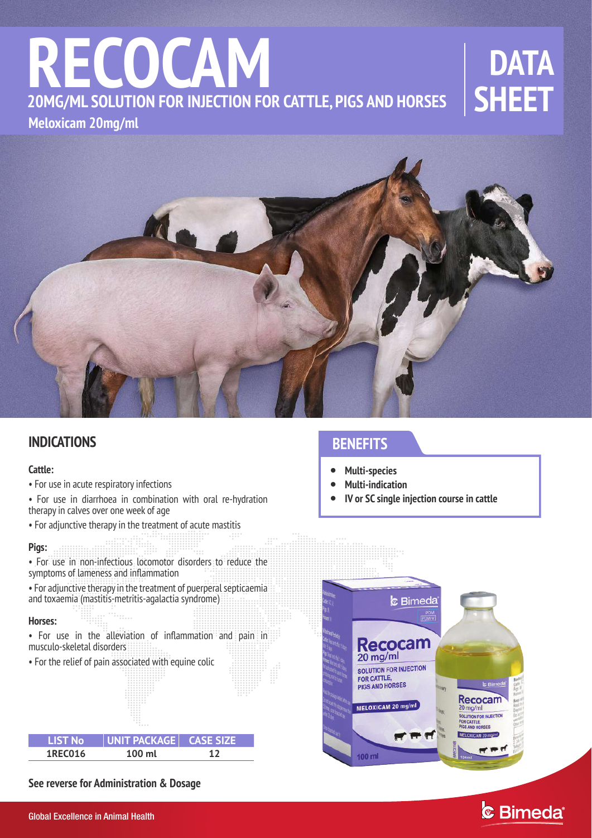# **SHEET RECOCAM Meloxicam 20mg/ml 20MG/ML SOLUTION FOR INJECTION FOR CATTLE, PIGS AND HORSES**

# **DATA**<br>SHEET



### **INDICATIONS**

#### **Cattle:**

- For use in acute respiratory infections
- For use in diarrhoea in combination with oral re-hydration therapy in calves over one week of age
- For adjunctive therapy in the treatment of acute mastitis

#### **Pigs:**

- For use in non-infectious locomotor disorders to reduce the symptoms of lameness and inflammation
- For adjunctive therapy in the treatment of puerperal septicaemia and toxaemia (mastitis-metritis-agalactia syndrome)

#### **Horses:**

I

- For use in the alleviation of inflammation and pain in musculo-skeletal disorders
- For the relief of pain associated with equine colic

 $\ddotsc$ 

| <b>LIST No</b> | UNIT PACKAGE   CASE SIZE |  |
|----------------|--------------------------|--|
| 1REC016        | $100 \text{ ml}$         |  |

**See reverse for Administration & Dosage** 

## **BENEFITS**

- **Multi-species**  $\bullet$
- **Multi-indication**   $\bullet$
- **IV or SC single injection course in cattle**  $\bullet$



## **& Bimeda**